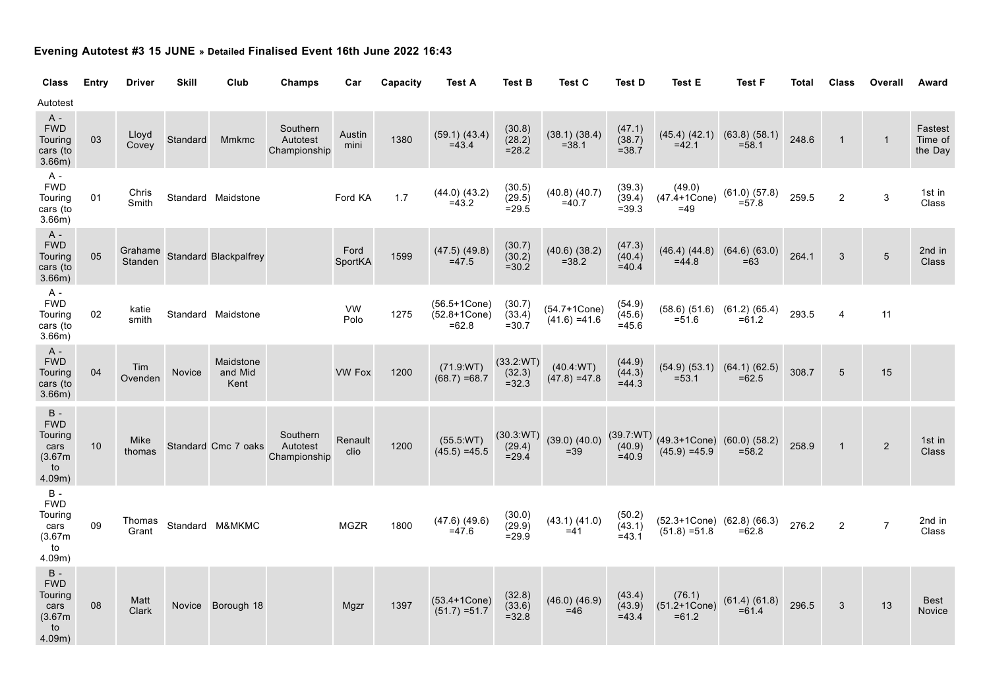## **Evening Autotest #3 15 JUNE » Detailed Finalised Event 16th June 2022 16:43**

| <b>Class</b>                                                      | Entry | <b>Driver</b>      | <b>Skill</b> | Club                         | Champs                               | Car             | Capacity | <b>Test A</b>                                   | <b>Test B</b>                   | Test C                          | <b>Test D</b>                  | Test E                                              | <b>Test F</b>                                   | <b>Total</b> | <b>Class</b>   | Overall        | Award                         |
|-------------------------------------------------------------------|-------|--------------------|--------------|------------------------------|--------------------------------------|-----------------|----------|-------------------------------------------------|---------------------------------|---------------------------------|--------------------------------|-----------------------------------------------------|-------------------------------------------------|--------------|----------------|----------------|-------------------------------|
| Autotest                                                          |       |                    |              |                              |                                      |                 |          |                                                 |                                 |                                 |                                |                                                     |                                                 |              |                |                |                               |
| $A -$<br><b>FWD</b><br>Touring<br>cars (to<br>3.66m)              | 03    | Lloyd<br>Covey     | Standard     | <b>Mmkmc</b>                 | Southern<br>Autotest<br>Championship | Austin<br>mini  | 1380     | (59.1) (43.4)<br>$=43.4$                        | (30.8)<br>(28.2)<br>$= 28.2$    | (38.1) (38.4)<br>$= 38.1$       | (47.1)<br>(38.7)<br>$= 38.7$   | $=42.1$                                             | $(45.4)$ $(42.1)$ $(63.8)$ $(58.1)$<br>$= 58.1$ | 248.6        | $\mathbf{1}$   | $\mathbf{1}$   | Fastest<br>Time of<br>the Day |
| A -<br><b>FWD</b><br>Touring<br>cars (to<br>3.66m)                | 01    | Chris<br>Smith     |              | Standard Maidstone           |                                      | Ford KA         | 1.7      | $(44.0)$ $(43.2)$<br>$=43.2$                    | (30.5)<br>(29.5)<br>$= 29.5$    | $(40.8)$ $(40.7)$<br>$=40.7$    | (39.3)<br>(39.4)<br>$= 39.3$   | (49.0)<br>$(47.4 + 1C)$ one)<br>$=49$               | $(61.0)$ $(57.8)$<br>$= 57.8$                   | 259.5        | $\mathbf 2$    | 3              | 1st in<br>Class               |
| A -<br><b>FWD</b><br>Touring<br>cars (to<br>$3.66m$ )             | 05    | Grahame<br>Standen |              | <b>Standard Blackpalfrey</b> |                                      | Ford<br>SportKA | 1599     | $(47.5)$ $(49.8)$<br>$=47.5$                    | (30.7)<br>(30.2)<br>$= 30.2$    | $(40.6)$ $(38.2)$<br>$= 38.2$   | (47.3)<br>(40.4)<br>$=40.4$    | $(46.4)$ $(44.8)$<br>$=44.8$                        | $(64.6)$ $(63.0)$<br>$=63$                      | 264.1        | 3              | $\overline{5}$ | 2nd in<br><b>Class</b>        |
| A -<br><b>FWD</b><br>Touring<br>cars (to<br>$3.66m$ )             | 02    | katie<br>smith     |              | Standard Maidstone           |                                      | VW<br>Polo      | 1275     | $(56.5 + 1Cone)$<br>$(52.8 + 1Cone)$<br>$=62.8$ | (30.7)<br>(33.4)<br>$=30.7$     | (54.7+1Cone)<br>$(41.6) = 41.6$ | (54.9)<br>(45.6)<br>$=45.6$    | $= 51.6$                                            | $(58.6)$ $(51.6)$ $(61.2)$ $(65.4)$<br>$= 61.2$ | 293.5        | 4              | 11             |                               |
| $A -$<br><b>FWD</b><br>Touring<br>cars (to<br>3.66m)              | 04    | Tim<br>Ovenden     | Novice       | Maidstone<br>and Mid<br>Kent |                                      | <b>VW Fox</b>   | 1200     | (71.9:WT)<br>$(68.7) = 68.7$                    | (33.2:WT)<br>(32.3)<br>$= 32.3$ | (40.4 WT)<br>$(47.8) = 47.8$    | (44.9)<br>(44.3)<br>$=44.3$    | (54.9) (53.1)<br>$= 53.1$                           | (64.1) (62.5)<br>$=62.5$                        | 308.7        | $\sqrt{5}$     | 15             |                               |
| $B -$<br><b>FWD</b><br>Touring<br>cars<br>(3.67m)<br>to<br>4.09m) | 10    | Mike<br>thomas     |              | Standard Cmc 7 oaks          | Southern<br>Autotest<br>Championship | Renault<br>clio | 1200     | (55.5:WT)<br>$(45.5) = 45.5$                    | (30.3:WT)<br>(29.4)<br>$= 29.4$ | $(39.0)$ $(40.0)$<br>$=39$      | (39.7:WT)<br>(40.9)<br>$=40.9$ | $(49.3+1Cone)$ $(60.0)$ $(58.2)$<br>$(45.9) = 45.9$ | $= 58.2$                                        | 258.9        | $\mathbf{1}$   | $\overline{2}$ | 1st in<br>Class               |
| $B -$<br><b>FWD</b><br>Touring<br>cars<br>(3.67m)<br>to<br>4.09m) | 09    | Thomas<br>Grant    |              | Standard M&MKMC              |                                      | <b>MGZR</b>     | 1800     | $(47.6)$ $(49.6)$<br>$=47.6$                    | (30.0)<br>(29.9)<br>$= 29.9$    | (43.1) (41.0)<br>$=41$          | (50.2)<br>(43.1)<br>$= 43.1$   | (52.3+1Cone) (62.8) (66.3)<br>$(51.8) = 51.8$       | $=62.8$                                         | 276.2        | $\overline{2}$ | $\overline{7}$ | 2nd in<br>Class               |
| $B -$<br><b>FWD</b><br>Touring<br>cars<br>(3.67m)<br>to<br>4.09m) | 08    | Matt<br>Clark      |              | Novice Borough 18            |                                      | Mgzr            | 1397     | $(53.4 + 1Cone)$<br>$(51.7) = 51.7$             | (32.8)<br>(33.6)<br>$= 32.8$    | $(46.0)$ $(46.9)$<br>$=46$      | (43.4)<br>(43.9)<br>$=43.4$    | (76.1)<br>$(51.2 + 1Cone)$<br>$=61.2$               | (61.4) (61.8)<br>$=61.4$                        | 296.5        | 3              | 13             | <b>Best</b><br>Novice         |